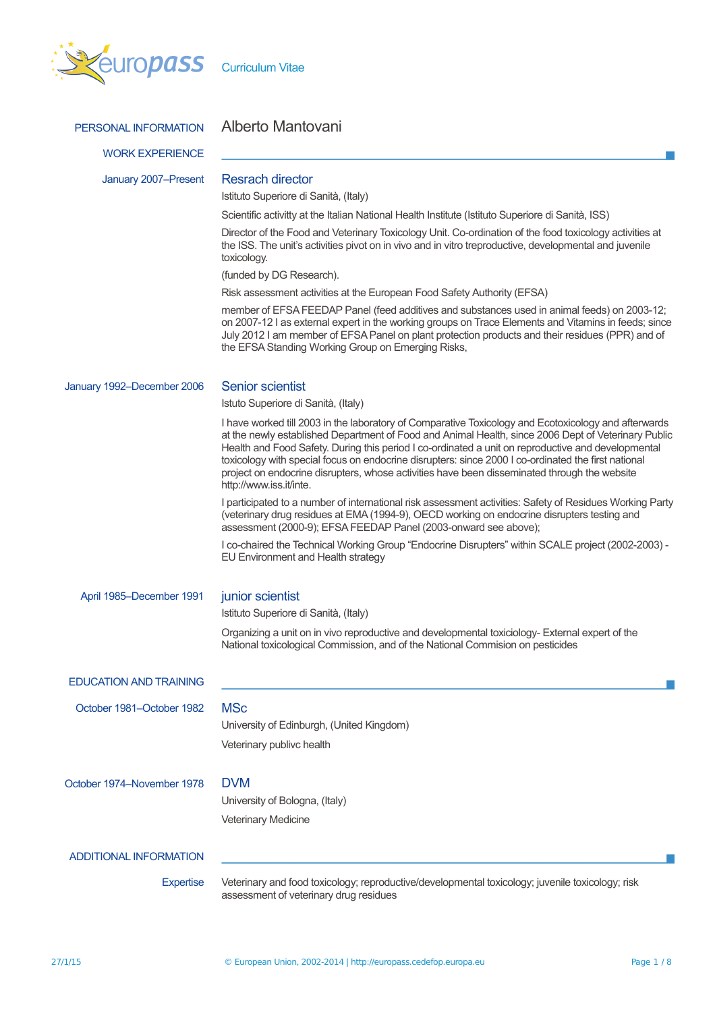

| PERSONAL INFORMATION          | Alberto Mantovani                                                                                                                                                                                                                                                                                                                                                                                                                                                                                                                                   |
|-------------------------------|-----------------------------------------------------------------------------------------------------------------------------------------------------------------------------------------------------------------------------------------------------------------------------------------------------------------------------------------------------------------------------------------------------------------------------------------------------------------------------------------------------------------------------------------------------|
| <b>WORK EXPERIENCE</b>        |                                                                                                                                                                                                                                                                                                                                                                                                                                                                                                                                                     |
| January 2007-Present          | <b>Resrach director</b>                                                                                                                                                                                                                                                                                                                                                                                                                                                                                                                             |
|                               | Istituto Superiore di Sanità, (Italy)                                                                                                                                                                                                                                                                                                                                                                                                                                                                                                               |
|                               | Scientific activitty at the Italian National Health Institute (Istituto Superiore di Sanità, ISS)                                                                                                                                                                                                                                                                                                                                                                                                                                                   |
|                               | Director of the Food and Veterinary Toxicology Unit. Co-ordination of the food toxicology activities at<br>the ISS. The unit's activities pivot on in vivo and in vitro treproductive, developmental and juvenile<br>toxicology.                                                                                                                                                                                                                                                                                                                    |
|                               | (funded by DG Research).                                                                                                                                                                                                                                                                                                                                                                                                                                                                                                                            |
|                               | Risk assessment activities at the European Food Safety Authority (EFSA)                                                                                                                                                                                                                                                                                                                                                                                                                                                                             |
|                               | member of EFSA FEEDAP Panel (feed additives and substances used in animal feeds) on 2003-12;<br>on 2007-12 I as external expert in the working groups on Trace Elements and Vitamins in feeds; since<br>July 2012 I am member of EFSA Panel on plant protection products and their residues (PPR) and of<br>the EFSA Standing Working Group on Emerging Risks,                                                                                                                                                                                      |
| January 1992-December 2006    | <b>Senior scientist</b>                                                                                                                                                                                                                                                                                                                                                                                                                                                                                                                             |
|                               | Istuto Superiore di Sanità, (Italy)                                                                                                                                                                                                                                                                                                                                                                                                                                                                                                                 |
|                               | I have worked till 2003 in the laboratory of Comparative Toxicology and Ecotoxicology and afterwards<br>at the newly established Department of Food and Animal Health, since 2006 Dept of Veterinary Public<br>Health and Food Safety. During this period I co-ordinated a unit on reproductive and developmental<br>toxicology with special focus on endocrine disrupters: since 2000 I co-ordinated the first national<br>project on endocrine disrupters, whose activities have been disseminated through the website<br>http://www.iss.it/inte. |
|                               | I participated to a number of international risk assessment activities: Safety of Residues Working Party<br>(veterinary drug residues at EMA (1994-9), OECD working on endocrine disrupters testing and<br>assessment (2000-9); EFSA FEEDAP Panel (2003-onward see above);                                                                                                                                                                                                                                                                          |
|                               | I co-chaired the Technical Working Group "Endocrine Disrupters" within SCALE project (2002-2003) -<br>EU Environment and Health strategy                                                                                                                                                                                                                                                                                                                                                                                                            |
| April 1985–December 1991      | junior scientist                                                                                                                                                                                                                                                                                                                                                                                                                                                                                                                                    |
|                               | Istituto Superiore di Sanità, (Italy)                                                                                                                                                                                                                                                                                                                                                                                                                                                                                                               |
|                               | Organizing a unit on in vivo reproductive and developmental toxiciology- External expert of the<br>National toxicological Commission, and of the National Commision on pesticides                                                                                                                                                                                                                                                                                                                                                                   |
| <b>EDUCATION AND TRAINING</b> |                                                                                                                                                                                                                                                                                                                                                                                                                                                                                                                                                     |
| October 1981-October 1982     | <b>MSc</b>                                                                                                                                                                                                                                                                                                                                                                                                                                                                                                                                          |
|                               | University of Edinburgh, (United Kingdom)                                                                                                                                                                                                                                                                                                                                                                                                                                                                                                           |
|                               |                                                                                                                                                                                                                                                                                                                                                                                                                                                                                                                                                     |
|                               | Veterinary publivc health                                                                                                                                                                                                                                                                                                                                                                                                                                                                                                                           |
| October 1974–November 1978    | <b>DVM</b>                                                                                                                                                                                                                                                                                                                                                                                                                                                                                                                                          |
|                               | University of Bologna, (Italy)                                                                                                                                                                                                                                                                                                                                                                                                                                                                                                                      |
|                               | <b>Veterinary Medicine</b>                                                                                                                                                                                                                                                                                                                                                                                                                                                                                                                          |
| <b>ADDITIONAL INFORMATION</b> |                                                                                                                                                                                                                                                                                                                                                                                                                                                                                                                                                     |
| <b>Expertise</b>              | Veterinary and food toxicology; reproductive/developmental toxicology; juvenile toxicology; risk                                                                                                                                                                                                                                                                                                                                                                                                                                                    |
|                               | assessment of veterinary drug residues                                                                                                                                                                                                                                                                                                                                                                                                                                                                                                              |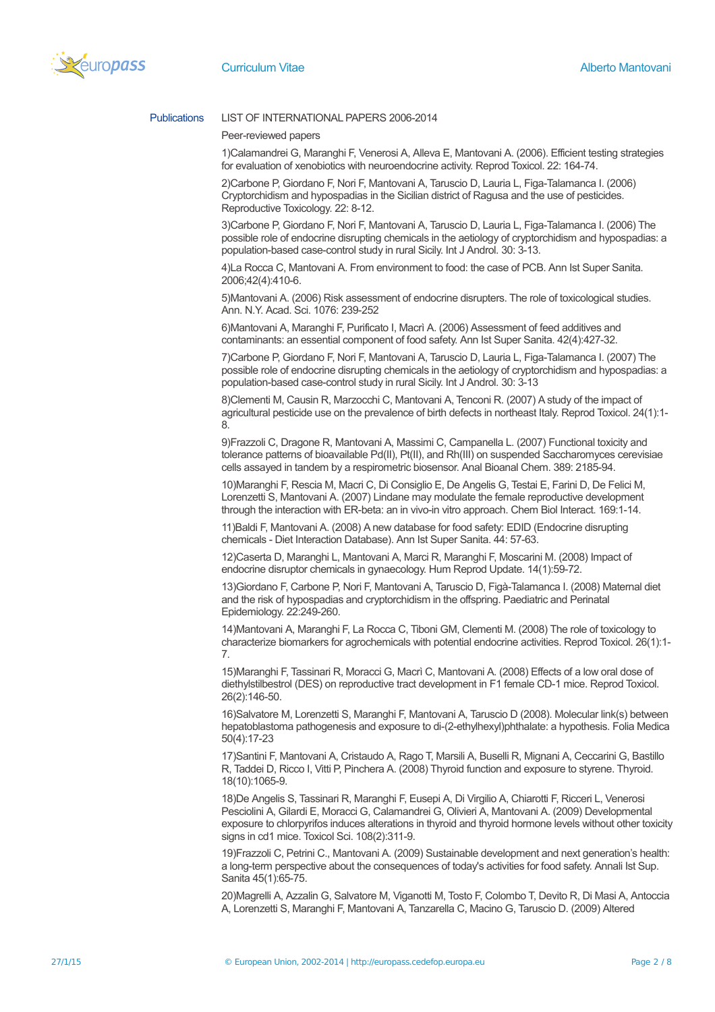

# Publications LIST OF INTERNATIONAL PAPERS 2006-2014

## Peer-reviewed papers

1)Calamandrei G, Maranghi F, Venerosi A, Alleva E, Mantovani A. (2006). Efficient testing strategies for evaluation of xenobiotics with neuroendocrine activity. Reprod Toxicol. 22: 164-74.

2)Carbone P, Giordano F, Nori F, Mantovani A, Taruscio D, Lauria L, Figa-Talamanca I. (2006) Cryptorchidism and hypospadias in the Sicilian district of Ragusa and the use of pesticides. Reproductive Toxicology. 22: 8-12.

3)Carbone P, Giordano F, Nori F, Mantovani A, Taruscio D, Lauria L, Figa-Talamanca I. (2006) The possible role of endocrine disrupting chemicals in the aetiology of cryptorchidism and hypospadias: a population-based case-control study in rural Sicily. Int J Androl. 30: 3-13.

4)La Rocca C, Mantovani A. From environment to food: the case of PCB. Ann Ist Super Sanita. 2006;42(4):410-6.

5)Mantovani A. (2006) Risk assessment of endocrine disrupters. The role of toxicological studies. Ann. N.Y. Acad. Sci. 1076: 239-252

6)Mantovani A, Maranghi F, Purificato I, Macrì A. (2006) Assessment of feed additives and contaminants: an essential component of food safety. Ann Ist Super Sanita. 42(4):427-32.

7)Carbone P, Giordano F, Nori F, Mantovani A, Taruscio D, Lauria L, Figa-Talamanca I. (2007) The possible role of endocrine disrupting chemicals in the aetiology of cryptorchidism and hypospadias: a population-based case-control study in rural Sicily. Int J Androl. 30: 3-13

8)Clementi M, Causin R, Marzocchi C, Mantovani A, Tenconi R. (2007) A study of the impact of agricultural pesticide use on the prevalence of birth defects in northeast Italy. Reprod Toxicol. 24(1):1- 8.

9)Frazzoli C, Dragone R, Mantovani A, Massimi C, Campanella L. (2007) Functional toxicity and tolerance patterns of bioavailable Pd(II), Pt(II), and Rh(III) on suspended Saccharomyces cerevisiae cells assayed in tandem by a respirometric biosensor. Anal Bioanal Chem. 389: 2185-94.

10)Maranghi F, Rescia M, Macri C, Di Consiglio E, De Angelis G, Testai E, Farini D, De Felici M, Lorenzetti S, Mantovani A. (2007) Lindane may modulate the female reproductive development through the interaction with ER-beta: an in vivo-in vitro approach. Chem Biol Interact. 169:1-14.

11)Baldi F, Mantovani A. (2008) A new database for food safety: EDID (Endocrine disrupting chemicals - Diet Interaction Database). Ann Ist Super Sanita. 44: 57-63.

12)Caserta D, Maranghi L, Mantovani A, Marci R, Maranghi F, Moscarini M. (2008) Impact of endocrine disruptor chemicals in gynaecology. Hum Reprod Update. 14(1):59-72.

13)Giordano F, Carbone P, Nori F, Mantovani A, Taruscio D, Figà-Talamanca I. (2008) Maternal diet and the risk of hypospadias and cryptorchidism in the offspring. Paediatric and Perinatal Epidemiology. 22:249-260.

14)Mantovani A, Maranghi F, La Rocca C, Tiboni GM, Clementi M. (2008) The role of toxicology to characterize biomarkers for agrochemicals with potential endocrine activities. Reprod Toxicol. 26(1):1- 7.

15)Maranghi F, Tassinari R, Moracci G, Macrì C, Mantovani A. (2008) Effects of a low oral dose of diethylstilbestrol (DES) on reproductive tract development in F1 female CD-1 mice. Reprod Toxicol. 26(2):146-50.

16)Salvatore M, Lorenzetti S, Maranghi F, Mantovani A, Taruscio D (2008). Molecular link(s) between hepatoblastoma pathogenesis and exposure to di-(2-ethylhexyl)phthalate: a hypothesis. Folia Medica 50(4):17-23

17)Santini F, Mantovani A, Cristaudo A, Rago T, Marsili A, Buselli R, Mignani A, Ceccarini G, Bastillo R, Taddei D, Ricco I, Vitti P, Pinchera A. (2008) Thyroid function and exposure to styrene. Thyroid. 18(10):1065-9.

18)De Angelis S, Tassinari R, Maranghi F, Eusepi A, Di Virgilio A, Chiarotti F, Ricceri L, Venerosi Pesciolini A, Gilardi E, Moracci G, Calamandrei G, Olivieri A, Mantovani A. (2009) Developmental exposure to chlorpyrifos induces alterations in thyroid and thyroid hormone levels without other toxicity signs in cd1 mice. Toxicol Sci. 108(2):311-9.

19)Frazzoli C, Petrini C., Mantovani A. (2009) Sustainable development and next generation's health: a long-term perspective about the consequences of today's activities for food safety. Annali Ist Sup. Sanita 45(1):65-75.

20)Magrelli A, Azzalin G, Salvatore M, Viganotti M, Tosto F, Colombo T, Devito R, Di Masi A, Antoccia A, Lorenzetti S, Maranghi F, Mantovani A, Tanzarella C, Macino G, Taruscio D. (2009) Altered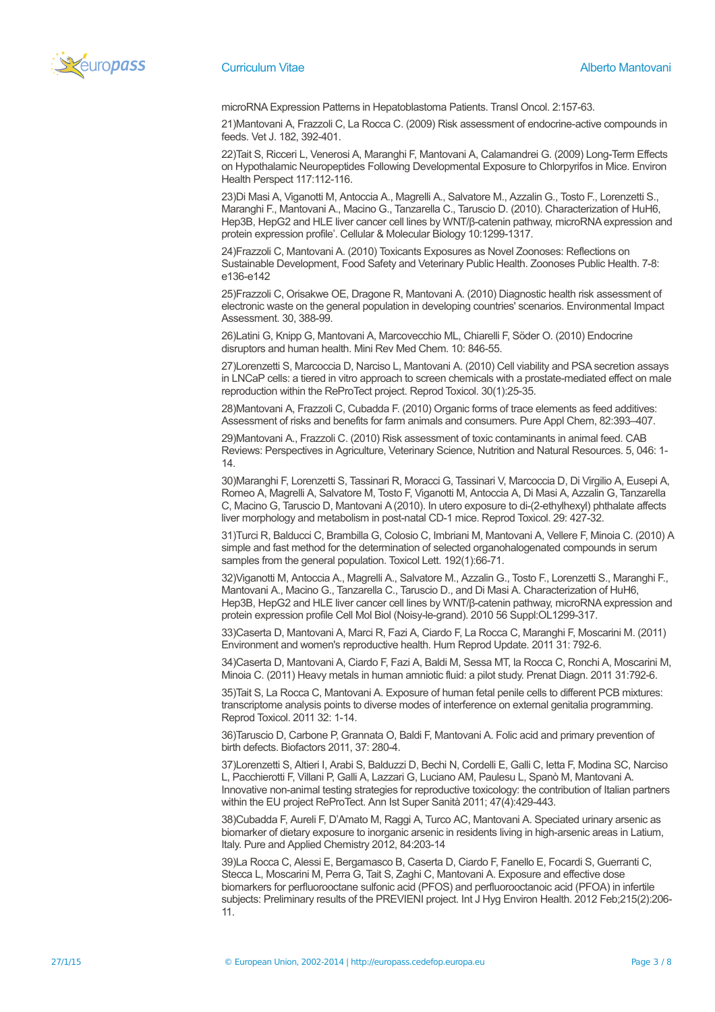

microRNA Expression Patterns in Hepatoblastoma Patients. Transl Oncol. 2:157-63.

21)Mantovani A, Frazzoli C, La Rocca C. (2009) Risk assessment of endocrine-active compounds in feeds. Vet J. 182, 392-401.

22)Tait S, Ricceri L, Venerosi A, Maranghi F, Mantovani A, Calamandrei G. (2009) Long-Term Effects on Hypothalamic Neuropeptides Following Developmental Exposure to Chlorpyrifos in Mice. Environ Health Perspect 117:112-116.

23)Di Masi A, Viganotti M, Antoccia A., Magrelli A., Salvatore M., Azzalin G., Tosto F., Lorenzetti S., Maranghi F., Mantovani A., Macino G., Tanzarella C., Taruscio D. (2010). Characterization of HuH6, Hep3B, HepG2 and HLE liver cancer cell lines by WNT/β-catenin pathway, microRNA expression and protein expression profile'. Cellular & Molecular Biology 10:1299-1317.

24)Frazzoli C, Mantovani A. (2010) Toxicants Exposures as Novel Zoonoses: Reflections on Sustainable Development, Food Safety and Veterinary Public Health. Zoonoses Public Health. 7-8: e136-e142

25)Frazzoli C, Orisakwe OE, Dragone R, Mantovani A. (2010) Diagnostic health risk assessment of electronic waste on the general population in developing countries' scenarios. Environmental Impact Assessment. 30, 388-99.

26)Latini G, Knipp G, Mantovani A, Marcovecchio ML, Chiarelli F, Söder O. (2010) Endocrine disruptors and human health. Mini Rev Med Chem. 10: 846-55.

27)Lorenzetti S, Marcoccia D, Narciso L, Mantovani A. (2010) Cell viability and PSA secretion assays in LNCaP cells: a tiered in vitro approach to screen chemicals with a prostate-mediated effect on male reproduction within the ReProTect project. Reprod Toxicol. 30(1):25-35.

28)Mantovani A, Frazzoli C, Cubadda F. (2010) Organic forms of trace elements as feed additives: Assessment of risks and benefits for farm animals and consumers. Pure Appl Chem, 82:393–407.

29)Mantovani A., Frazzoli C. (2010) Risk assessment of toxic contaminants in animal feed. CAB Reviews: Perspectives in Agriculture, Veterinary Science, Nutrition and Natural Resources. 5, 046: 1- 14.

30)Maranghi F, Lorenzetti S, Tassinari R, Moracci G, Tassinari V, Marcoccia D, Di Virgilio A, Eusepi A, Romeo A, Magrelli A, Salvatore M, Tosto F, Viganotti M, Antoccia A, Di Masi A, Azzalin G, Tanzarella C, Macino G, Taruscio D, Mantovani A (2010). In utero exposure to di-(2-ethylhexyl) phthalate affects liver morphology and metabolism in post-natal CD-1 mice. Reprod Toxicol. 29: 427-32.

31)Turci R, Balducci C, Brambilla G, Colosio C, Imbriani M, Mantovani A, Vellere F, Minoia C. (2010) A simple and fast method for the determination of selected organohalogenated compounds in serum samples from the general population. Toxicol Lett. 192(1):66-71.

32)Viganotti M, Antoccia A., Magrelli A., Salvatore M., Azzalin G., Tosto F., Lorenzetti S., Maranghi F., Mantovani A., Macino G., Tanzarella C., Taruscio D., and Di Masi A. Characterization of HuH6, Hep3B, HepG2 and HLE liver cancer cell lines by WNT/β-catenin pathway, microRNA expression and protein expression profile Cell Mol Biol (Noisy-le-grand). 2010 56 Suppl:OL1299-317.

33)Caserta D, Mantovani A, Marci R, Fazi A, Ciardo F, La Rocca C, Maranghi F, Moscarini M. (2011) Environment and women's reproductive health. Hum Reprod Update. 2011 31: 792-6.

34)Caserta D, Mantovani A, Ciardo F, Fazi A, Baldi M, Sessa MT, la Rocca C, Ronchi A, Moscarini M, Minoia C. (2011) Heavy metals in human amniotic fluid: a pilot study. Prenat Diagn. 2011 31:792-6.

35)Tait S, La Rocca C, Mantovani A. Exposure of human fetal penile cells to different PCB mixtures: transcriptome analysis points to diverse modes of interference on external genitalia programming. Reprod Toxicol. 2011 32: 1-14.

36)Taruscio D, Carbone P, Grannata O, Baldi F, Mantovani A. Folic acid and primary prevention of birth defects. Biofactors 2011, 37: 280-4.

37)Lorenzetti S, Altieri I, Arabi S, Balduzzi D, Bechi N, Cordelli E, Galli C, Ietta F, Modina SC, Narciso L, Pacchierotti F, Villani P, Galli A, Lazzari G, Luciano AM, Paulesu L, Spanò M, Mantovani A. Innovative non-animal testing strategies for reproductive toxicology: the contribution of Italian partners within the EU project ReProTect. Ann Ist Super Sanità 2011; 47(4):429-443.

38)Cubadda F, Aureli F, D'Amato M, Raggi A, Turco AC, Mantovani A. Speciated urinary arsenic as biomarker of dietary exposure to inorganic arsenic in residents living in high-arsenic areas in Latium, Italy. Pure and Applied Chemistry 2012, 84:203-14

39)La Rocca C, Alessi E, Bergamasco B, Caserta D, Ciardo F, Fanello E, Focardi S, Guerranti C, Stecca L, Moscarini M, Perra G, Tait S, Zaghi C, Mantovani A. Exposure and effective dose biomarkers for perfluorooctane sulfonic acid (PFOS) and perfluorooctanoic acid (PFOA) in infertile subjects: Preliminary results of the PREVIENI project. Int J Hyg Environ Health. 2012 Feb;215(2):206- 11.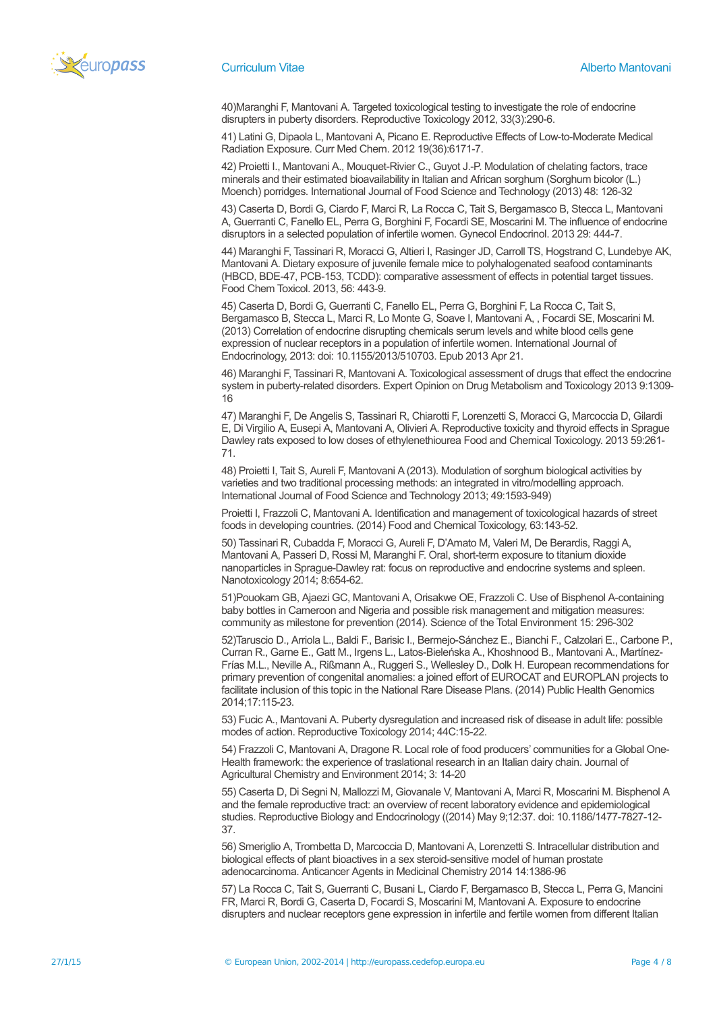

40)Maranghi F, Mantovani A. Targeted toxicological testing to investigate the role of endocrine disrupters in puberty disorders. Reproductive Toxicology 2012, 33(3):290-6.

41) Latini G, Dipaola L, Mantovani A, Picano E. Reproductive Effects of Low-to-Moderate Medical Radiation Exposure. Curr Med Chem. 2012 19(36):6171-7.

42) Proietti I., Mantovani A., Mouquet-Rivier C., Guyot J.-P. Modulation of chelating factors, trace minerals and their estimated bioavailability in Italian and African sorghum (Sorghum bicolor (L.) Moench) porridges. International Journal of Food Science and Technology (2013) 48: 126-32

43) Caserta D, Bordi G, Ciardo F, Marci R, La Rocca C, Tait S, Bergamasco B, Stecca L, Mantovani A, Guerranti C, Fanello EL, Perra G, Borghini F, Focardi SE, Moscarini M. The influence of endocrine disruptors in a selected population of infertile women. Gynecol Endocrinol. 2013 29: 444-7.

44) Maranghi F, Tassinari R, Moracci G, Altieri I, Rasinger JD, Carroll TS, Hogstrand C, Lundebye AK, Mantovani A. Dietary exposure of juvenile female mice to polyhalogenated seafood contaminants (HBCD, BDE-47, PCB-153, TCDD): comparative assessment of effects in potential target tissues. Food Chem Toxicol. 2013, 56: 443-9.

45) Caserta D, Bordi G, Guerranti C, Fanello EL, Perra G, Borghini F, La Rocca C, Tait S, Bergamasco B, Stecca L, Marci R, Lo Monte G, Soave I, Mantovani A, , Focardi SE, Moscarini M. (2013) Correlation of endocrine disrupting chemicals serum levels and white blood cells gene expression of nuclear receptors in a population of infertile women. International Journal of Endocrinology, 2013: doi: 10.1155/2013/510703. Epub 2013 Apr 21.

46) Maranghi F, Tassinari R, Mantovani A. Toxicological assessment of drugs that effect the endocrine system in puberty-related disorders. Expert Opinion on Drug Metabolism and Toxicology 2013 9:1309- 16

47) Maranghi F, De Angelis S, Tassinari R, Chiarotti F, Lorenzetti S, Moracci G, Marcoccia D, Gilardi E, Di Virgilio A, Eusepi A, Mantovani A, Olivieri A. Reproductive toxicity and thyroid effects in Sprague Dawley rats exposed to low doses of ethylenethiourea Food and Chemical Toxicology. 2013 59:261- 71.

48) Proietti I, Tait S, Aureli F, Mantovani A (2013). Modulation of sorghum biological activities by varieties and two traditional processing methods: an integrated in vitro/modelling approach. International Journal of Food Science and Technology 2013; 49:1593-949)

Proietti I, Frazzoli C, Mantovani A. Identification and management of toxicological hazards of street foods in developing countries. (2014) Food and Chemical Toxicology, 63:143-52.

50) Tassinari R, Cubadda F, Moracci G, Aureli F, D'Amato M, Valeri M, De Berardis, Raggi A, Mantovani A, Passeri D, Rossi M, Maranghi F. Oral, short-term exposure to titanium dioxide nanoparticles in Sprague-Dawley rat: focus on reproductive and endocrine systems and spleen. Nanotoxicology 2014; 8:654-62.

51)Pouokam GB, Ajaezi GC, Mantovani A, Orisakwe OE, Frazzoli C. Use of Bisphenol A-containing baby bottles in Cameroon and Nigeria and possible risk management and mitigation measures: community as milestone for prevention (2014). Science of the Total Environment 15: 296-302

52)Taruscio D., Arriola L., Baldi F., Barisic I., Bermejo-Sánchez E., Bianchi F., Calzolari E., Carbone P., Curran R., Garne E., Gatt M., Irgens L., Latos-Bieleńska A., Khoshnood B., Mantovani A., Martínez-Frías M.L., Neville A., Rißmann A., Ruggeri S., Wellesley D., Dolk H. European recommendations for primary prevention of congenital anomalies: a joined effort of EUROCAT and EUROPLAN projects to facilitate inclusion of this topic in the National Rare Disease Plans. (2014) Public Health Genomics 2014;17:115-23.

53) Fucic A., Mantovani A. Puberty dysregulation and increased risk of disease in adult life: possible modes of action. Reproductive Toxicology 2014; 44C:15-22.

54) Frazzoli C, Mantovani A, Dragone R. Local role of food producers' communities for a Global One-Health framework: the experience of traslational research in an Italian dairy chain. Journal of Agricultural Chemistry and Environment 2014; 3: 14-20

55) Caserta D, Di Segni N, Mallozzi M, Giovanale V, Mantovani A, Marci R, Moscarini M. Bisphenol A and the female reproductive tract: an overview of recent laboratory evidence and epidemiological studies. Reproductive Biology and Endocrinology ((2014) May 9;12:37. doi: 10.1186/1477-7827-12- 37.

56) Smeriglio A, Trombetta D, Marcoccia D, Mantovani A, Lorenzetti S. Intracellular distribution and biological effects of plant bioactives in a sex steroid-sensitive model of human prostate adenocarcinoma. Anticancer Agents in Medicinal Chemistry 2014 14:1386-96

57) La Rocca C, Tait S, Guerranti C, Busani L, Ciardo F, Bergamasco B, Stecca L, Perra G, Mancini FR, Marci R, Bordi G, Caserta D, Focardi S, Moscarini M, Mantovani A. Exposure to endocrine disrupters and nuclear receptors gene expression in infertile and fertile women from different Italian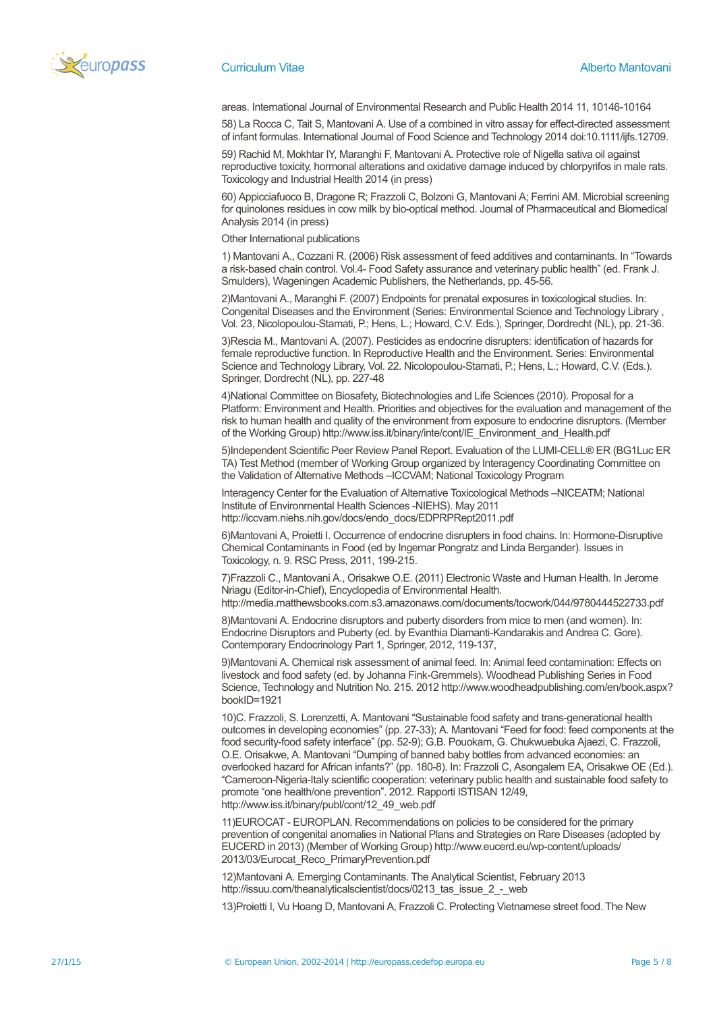

areas. International Journal of Environmental Research and Public Health 2014 11, 10146-10164

58) La Rocca C, Tait S, Mantovani A. Use of a combined in vitro assay for effect-directed assessment of infant formulas. International Journal of Food Science and Technology 2014 doi:10.1111/ijfs.12709.

59) Rachid M, Mokhtar IY, Maranghi F, Mantovani A. Protective role of Nigella sativa oil against reproductive toxicity, hormonal alterations and oxidative damage induced by chlorpyrifos in male rats. Toxicology and Industrial Health 2014 (in press)

60) Appicciafuoco B, Dragone R; Frazzoli C, Bolzoni G, Mantovani A; Ferrini AM. Microbial screening for quinolones residues in cow milk by bio-optical method. Journal of Pharmaceutical and Biomedical Analysis 2014 (in press)

Other International publications

1) Mantovani A., Cozzani R. (2006) Risk assessment of feed additives and contaminants. In "Towards a risk-based chain control. Vol.4- Food Safety assurance and veterinary public health" (ed. Frank J. Smulders), Wageningen Academic Publishers, the Netherlands, pp. 45-56.

2)Mantovani A., Maranghi F. (2007) Endpoints for prenatal exposures in toxicological studies. In: Congenital Diseases and the Environment (Series: Environmental Science and Technology Library , Vol. 23, Nicolopoulou-Stamati, P.; Hens, L.; Howard, C.V. Eds.), Springer, Dordrecht (NL), pp. 21-36.

3)Rescia M., Mantovani A. (2007). Pesticides as endocrine disrupters: identification of hazards for female reproductive function. In Reproductive Health and the Environment. Series: Environmental Science and Technology Library, Vol. 22. Nicolopoulou-Stamati, P.; Hens, L.; Howard, C.V. (Eds.). Springer, Dordrecht (NL), pp. 227-48

4)National Committee on Biosafety, Biotechnologies and Life Sciences (2010). Proposal for a Platform: Environment and Health. Priorities and objectives for the evaluation and management of the risk to human health and quality of the environment from exposure to endocrine disruptors. (Member of the Working Group) http://www.iss.it/binary/inte/cont/IE\_Environment\_and\_Health.pdf

5)Independent Scientific Peer Review Panel Report. Evaluation of the LUMI-CELL® ER (BG1Luc ER TA) Test Method (member of Working Group organized by Interagency Coordinating Committee on the Validation of Alternative Methods –ICCVAM; National Toxicology Program

Interagency Center for the Evaluation of Alternative Toxicological Methods –NICEATM; National Institute of Environmental Health Sciences -NIEHS). May 2011 http://iccvam.niehs.nih.gov/docs/endo\_docs/EDPRPRept2011.pdf

6)Mantovani A, Proietti I. Occurrence of endocrine disrupters in food chains. In: Hormone-Disruptive Chemical Contaminants in Food (ed by Ingemar Pongratz and Linda Bergander). Issues in Toxicology, n. 9. RSC Press, 2011, 199-215.

7)Frazzoli C., Mantovani A., Orisakwe O.E. (2011) Electronic Waste and Human Health. In Jerome Nriagu (Editor-in-Chief), Encyclopedia of Environmental Health.

http://media.matthewsbooks.com.s3.amazonaws.com/documents/tocwork/044/9780444522733.pdf 8)Mantovani A. Endocrine disruptors and puberty disorders from mice to men (and women). In:

Endocrine Disruptors and Puberty (ed. by Evanthia Diamanti-Kandarakis and Andrea C. Gore). Contemporary Endocrinology Part 1, Springer, 2012, 119-137,

9)Mantovani A. Chemical risk assessment of animal feed. In: Animal feed contamination: Effects on livestock and food safety (ed. by Johanna Fink-Gremmels). Woodhead Publishing Series in Food Science, Technology and Nutrition No. 215. 2012 http://www.woodheadpublishing.com/en/book.aspx? bookID=1921

10)C. Frazzoli, S. Lorenzetti, A. Mantovani "Sustainable food safety and trans-generational health outcomes in developing economies" (pp. 27-33); A. Mantovani "Feed for food: feed components at the food security-food safety interface" (pp. 52-9); G.B. Pouokam, G. Chukwuebuka Ajaezi, C. Frazzoli, O.E. Orisakwe, A. Mantovani "Dumping of banned baby bottles from advanced economies: an overlooked hazard for African infants?" (pp. 180-8). In: Frazzoli C, Asongalem EA, Orisakwe OE (Ed.). "Cameroon-Nigeria-Italy scientific cooperation: veterinary public health and sustainable food safety to promote "one health/one prevention". 2012. Rapporti ISTISAN 12/49, http://www.iss.it/binary/publ/cont/12\_49\_web.pdf

11)EUROCAT - EUROPLAN. Recommendations on policies to be considered for the primary prevention of congenital anomalies in National Plans and Strategies on Rare Diseases (adopted by EUCERD in 2013) (Member of Working Group) http://www.eucerd.eu/wp-content/uploads/ 2013/03/Eurocat\_Reco\_PrimaryPrevention.pdf

12)Mantovani A. Emerging Contaminants. The Analytical Scientist, February 2013 http://issuu.com/theanalyticalscientist/docs/0213\_tas\_issue\_2\_-\_web

13)Proietti I, Vu Hoang D, Mantovani A, Frazzoli C. Protecting Vietnamese street food. The New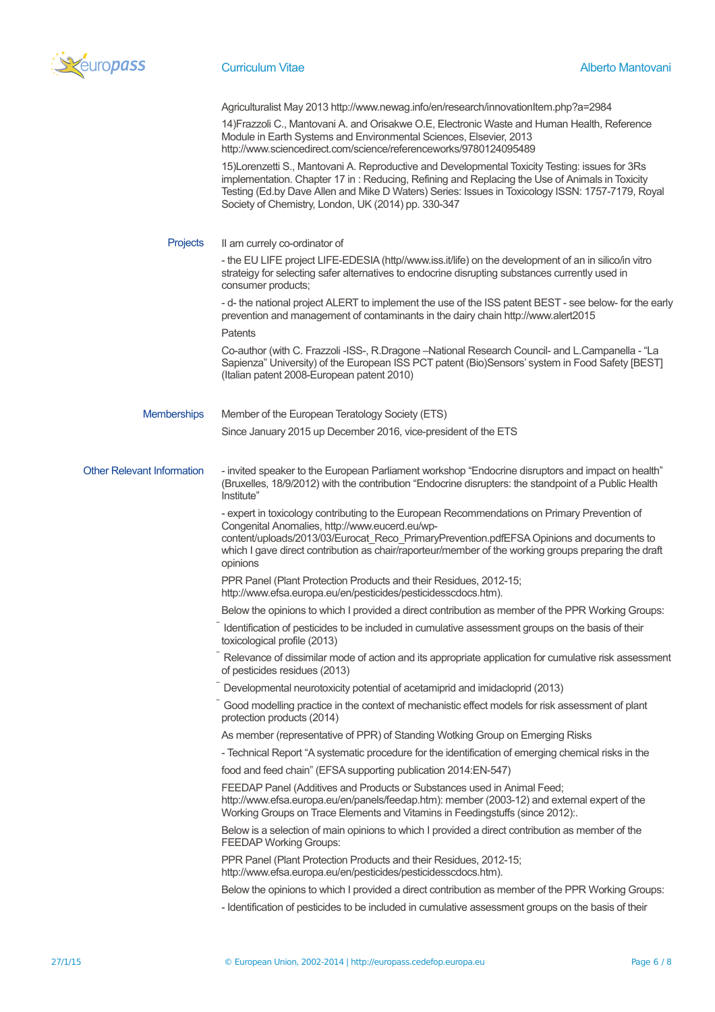

|                                   | Agriculturalist May 2013 http://www.newag.info/en/research/innovationItem.php?a=2984<br>14) Frazzoli C., Mantovani A. and Orisakwe O.E, Electronic Waste and Human Health, Reference<br>Module in Earth Systems and Environmental Sciences, Elsevier, 2013<br>http://www.sciencedirect.com/science/referenceworks/9780124095489                                |
|-----------------------------------|----------------------------------------------------------------------------------------------------------------------------------------------------------------------------------------------------------------------------------------------------------------------------------------------------------------------------------------------------------------|
|                                   | 15)Lorenzetti S., Mantovani A. Reproductive and Developmental Toxicity Testing: issues for 3Rs<br>implementation. Chapter 17 in: Reducing, Refining and Replacing the Use of Animals in Toxicity<br>Testing (Ed.by Dave Allen and Mike D Waters) Series: Issues in Toxicology ISSN: 1757-7179, Royal<br>Society of Chemistry, London, UK (2014) pp. 330-347    |
| Projects                          | II am currely co-ordinator of                                                                                                                                                                                                                                                                                                                                  |
|                                   | - the EU LIFE project LIFE-EDESIA (http//www.iss.it/life) on the development of an in silico/in vitro<br>strateigy for selecting safer alternatives to endocrine disrupting substances currently used in<br>consumer products;                                                                                                                                 |
|                                   | - d- the national project ALERT to implement the use of the ISS patent BEST - see below- for the early<br>prevention and management of contaminants in the dairy chain http://www.alert2015                                                                                                                                                                    |
|                                   | Patents                                                                                                                                                                                                                                                                                                                                                        |
|                                   | Co-author (with C. Frazzoli -ISS-, R.Dragone --National Research Council- and L.Campanella - "La<br>Sapienza" University) of the European ISS PCT patent (Bio)Sensors' system in Food Safety [BEST]<br>(Italian patent 2008-European patent 2010)                                                                                                              |
| <b>Memberships</b>                | Member of the European Teratology Society (ETS)                                                                                                                                                                                                                                                                                                                |
|                                   | Since January 2015 up December 2016, vice-president of the ETS                                                                                                                                                                                                                                                                                                 |
| <b>Other Relevant Information</b> | - invited speaker to the European Parliament workshop "Endocrine disruptors and impact on health"<br>(Bruxelles, 18/9/2012) with the contribution "Endocrine disrupters: the standpoint of a Public Health<br>Institute"                                                                                                                                       |
|                                   | - expert in toxicology contributing to the European Recommendations on Primary Prevention of<br>Congenital Anomalies, http://www.eucerd.eu/wp-<br>content/uploads/2013/03/Eurocat_Reco_PrimaryPrevention.pdfEFSA Opinions and documents to<br>which I gave direct contribution as chair/raporteur/member of the working groups preparing the draft<br>opinions |
|                                   | PPR Panel (Plant Protection Products and their Residues, 2012-15;<br>http://www.efsa.europa.eu/en/pesticides/pesticidesscdocs.htm).                                                                                                                                                                                                                            |
|                                   | Below the opinions to which I provided a direct contribution as member of the PPR Working Groups:                                                                                                                                                                                                                                                              |
|                                   | Identification of pesticides to be included in cumulative assessment groups on the basis of their<br>toxicological profile (2013)                                                                                                                                                                                                                              |
|                                   | Relevance of dissimilar mode of action and its appropriate application for cumulative risk assessment<br>of pesticides residues (2013)                                                                                                                                                                                                                         |
|                                   | Developmental neurotoxicity potential of acetamiprid and imidacloprid (2013)                                                                                                                                                                                                                                                                                   |
|                                   | Good modelling practice in the context of mechanistic effect models for risk assessment of plant<br>protection products (2014)                                                                                                                                                                                                                                 |
|                                   | As member (representative of PPR) of Standing Wotking Group on Emerging Risks                                                                                                                                                                                                                                                                                  |
|                                   | - Technical Report "A systematic procedure for the identification of emerging chemical risks in the                                                                                                                                                                                                                                                            |
|                                   | food and feed chain" (EFSA supporting publication 2014:EN-547)                                                                                                                                                                                                                                                                                                 |
|                                   | FEEDAP Panel (Additives and Products or Substances used in Animal Feed;<br>http://www.efsa.europa.eu/en/panels/feedap.htm): member (2003-12) and external expert of the<br>Working Groups on Trace Elements and Vitamins in Feedingstuffs (since 2012):.                                                                                                       |
|                                   | Below is a selection of main opinions to which I provided a direct contribution as member of the<br><b>FEEDAP Working Groups:</b>                                                                                                                                                                                                                              |
|                                   | PPR Panel (Plant Protection Products and their Residues, 2012-15;<br>http://www.efsa.europa.eu/en/pesticides/pesticidesscdocs.htm).                                                                                                                                                                                                                            |
|                                   | Below the opinions to which I provided a direct contribution as member of the PPR Working Groups:                                                                                                                                                                                                                                                              |
|                                   | - Identification of pesticides to be included in cumulative assessment groups on the basis of their                                                                                                                                                                                                                                                            |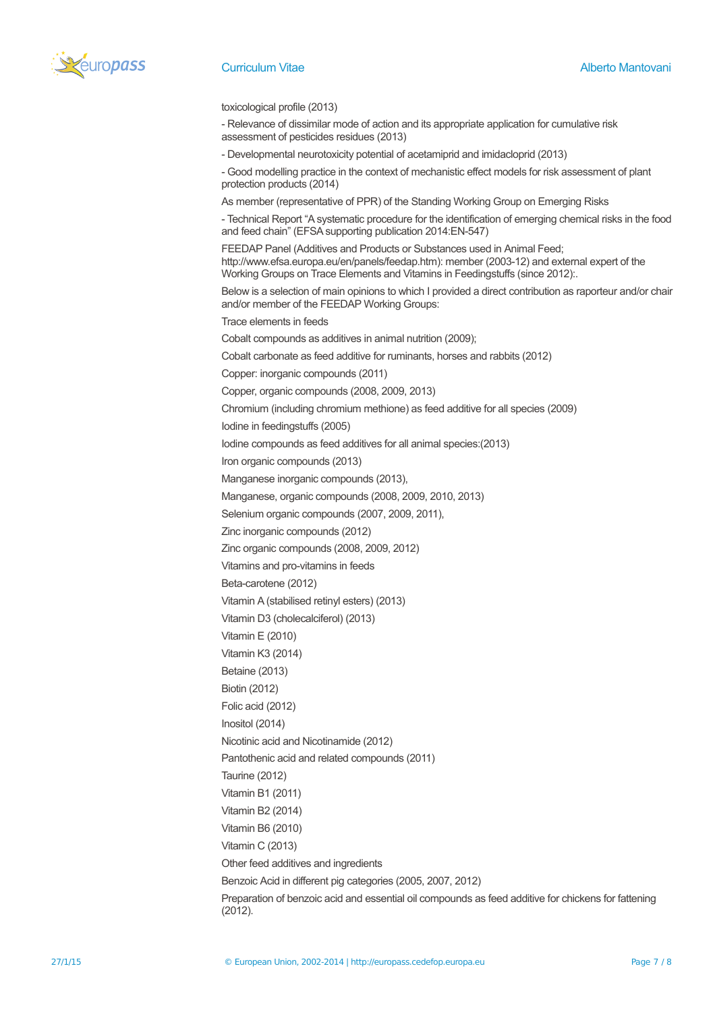

toxicological profile (2013)

- Relevance of dissimilar mode of action and its appropriate application for cumulative risk assessment of pesticides residues (2013)

- Developmental neurotoxicity potential of acetamiprid and imidacloprid (2013)

- Good modelling practice in the context of mechanistic effect models for risk assessment of plant protection products (2014)

As member (representative of PPR) of the Standing Working Group on Emerging Risks

- Technical Report "A systematic procedure for the identification of emerging chemical risks in the food and feed chain" (EFSA supporting publication 2014:EN-547)

FEEDAP Panel (Additives and Products or Substances used in Animal Feed; http://www.efsa.europa.eu/en/panels/feedap.htm): member (2003-12) and external expert of the Working Groups on Trace Elements and Vitamins in Feedingstuffs (since 2012):.

Below is a selection of main opinions to which I provided a direct contribution as raporteur and/or chair and/or member of the FEEDAP Working Groups:

Trace elements in feeds

Cobalt compounds as additives in animal nutrition (2009);

Cobalt carbonate as feed additive for ruminants, horses and rabbits (2012)

Copper: inorganic compounds (2011)

Copper, organic compounds (2008, 2009, 2013)

Chromium (including chromium methione) as feed additive for all species (2009)

Iodine in feedingstuffs (2005)

Iodine compounds as feed additives for all animal species:(2013)

Iron organic compounds (2013)

Manganese inorganic compounds (2013),

Manganese, organic compounds (2008, 2009, 2010, 2013)

Selenium organic compounds (2007, 2009, 2011),

Zinc inorganic compounds (2012)

Zinc organic compounds (2008, 2009, 2012)

Vitamins and pro-vitamins in feeds

Beta-carotene (2012)

Vitamin A (stabilised retinyl esters) (2013)

Vitamin D3 (cholecalciferol) (2013)

Vitamin E (2010)

Vitamin K3 (2014)

Betaine (2013)

Biotin (2012)

Folic acid (2012)

Inositol (2014)

Nicotinic acid and Nicotinamide (2012)

Pantothenic acid and related compounds (2011)

Taurine (2012)

Vitamin B1 (2011)

Vitamin B2 (2014)

Vitamin B6 (2010)

Vitamin C (2013)

Other feed additives and ingredients

Benzoic Acid in different pig categories (2005, 2007, 2012)

Preparation of benzoic acid and essential oil compounds as feed additive for chickens for fattening (2012).